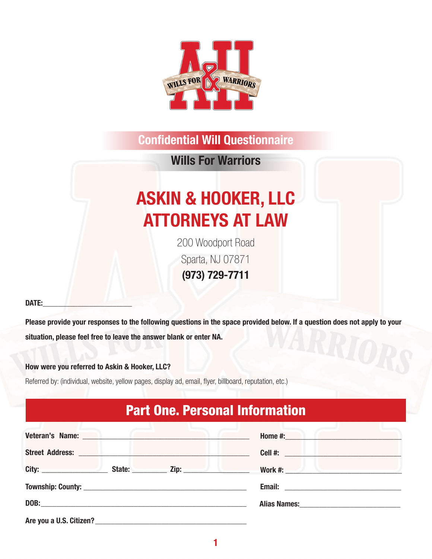

Wills For Warriors

# ASKIN & HOOKER, LLC ATTORNEYS AT LAW

200 Woodport Road Sparta, NJ 07871 (973) 729-7711

#### DATE:

Please provide your responses to the following questions in the space provided below. If a question does not apply to your situation, please feel free to leave the answer blank or enter NA.

#### How were you referred to Askin & Hooker, LLC?

Referred by: (individual, website, yellow pages, display ad, email, flyer, billboard, reputation, etc.)

### Part One. Personal Information

| Veteran's Name: Name: Name: Name: Name: Name: Name: Name: Name: Name: Name: Name: Name: Name: Name: Name: Name: Name: Name: Name: Name: Name: Name: Name: Name: Name: Name: Name: Name: Name: Name: Name: Name: Name: Name: Na | Home #:                          |
|--------------------------------------------------------------------------------------------------------------------------------------------------------------------------------------------------------------------------------|----------------------------------|
| Street Address: New York Street Address:                                                                                                                                                                                       |                                  |
| City: State: Zip: 21.                                                                                                                                                                                                          | <b>Work #:</b> Work #:           |
|                                                                                                                                                                                                                                |                                  |
|                                                                                                                                                                                                                                | Alias Names: Manual Alias Names: |
| Are you a U.S. Citizen?                                                                                                                                                                                                        |                                  |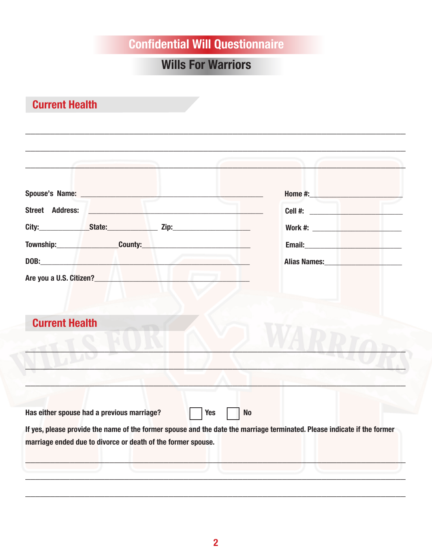### **Wills For Warriors**

### **Current Health**

| <b>Current Health</b>                                                                                                                                                                                                          |  |                                                                                                                                                                                                                                        |                                                 |
|--------------------------------------------------------------------------------------------------------------------------------------------------------------------------------------------------------------------------------|--|----------------------------------------------------------------------------------------------------------------------------------------------------------------------------------------------------------------------------------------|-------------------------------------------------|
|                                                                                                                                                                                                                                |  | Are you a U.S. Citizen?<br><u>Lateral and the second control of the second control of the second control of the second control of the second control of the second control of the second control of the second control of the seco</u> |                                                 |
| DOB: the contract of the contract of the contract of the contract of the contract of the contract of the contract of the contract of the contract of the contract of the contract of the contract of the contract of the contr |  | Alias Names:<br><u> and the set of the set of the set of the set of the set of the set of the set of the set of the set of the set of the set of the set of the set of the set of the set of the set of the set of the set of the </u> |                                                 |
|                                                                                                                                                                                                                                |  |                                                                                                                                                                                                                                        |                                                 |
|                                                                                                                                                                                                                                |  | <u> 1989 - Johann John Stein, markin fan it ferskearre fan it ferskearre fan it ferskearre fan it ferskearre fan i</u>                                                                                                                 |                                                 |
| <b>Street Address:</b>                                                                                                                                                                                                         |  |                                                                                                                                                                                                                                        | Home #: <b>Management Management Management</b> |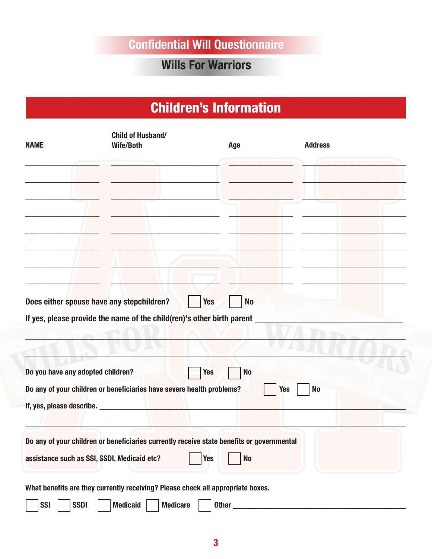#### Wills For Warriors

### Children's Information

| <b>NAME</b>                                 | <b>Child of Husband/</b><br><b>Wife/Both</b>                                              | Age                     | <b>Address</b>          |  |
|---------------------------------------------|-------------------------------------------------------------------------------------------|-------------------------|-------------------------|--|
|                                             |                                                                                           |                         |                         |  |
|                                             |                                                                                           |                         |                         |  |
|                                             |                                                                                           |                         |                         |  |
| Does either spouse have any stepchildren?   | If yes, please provide the name of the child(ren)'s other birth parent _                  | <b>Yes</b><br><b>No</b> |                         |  |
|                                             |                                                                                           |                         |                         |  |
| Do you have any adopted children?           |                                                                                           | <b>Yes</b><br><b>No</b> |                         |  |
|                                             | Do any of your children or beneficiaries have severe health problems?                     |                         | <b>No</b><br><b>Yes</b> |  |
|                                             | Do any of your children or beneficiaries currently receive state benefits or governmental |                         |                         |  |
| assistance such as SSI, SSDI, Medicaid etc? |                                                                                           | <b>Yes</b><br><b>No</b> |                         |  |
|                                             | What benefits are they currently receiving? Please check all appropriate boxes.           |                         |                         |  |

 $\Box$  SSI  $\Box$  SSDI  $\Box$  Medicaid  $\Box$  Medicare  $\Box$  Other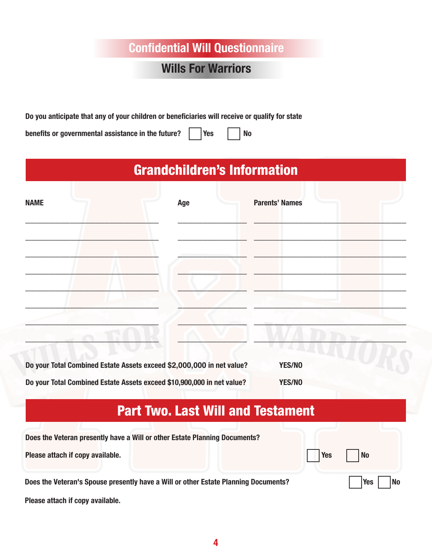#### Wills For Warriors

Do you anticipate that any of your children or beneficiaries will receive or qualify for state

benefits or governmental assistance in the future?  $\parallel$  Yes  $\parallel$  No

## Grandchildren's Information

| <b>NAME</b>                                                           | Age | <b>Parents' Names</b> |  |
|-----------------------------------------------------------------------|-----|-----------------------|--|
|                                                                       |     |                       |  |
|                                                                       |     |                       |  |
|                                                                       |     |                       |  |
| Do your Total Combined Estate Assets exceed \$2,000,000 in net value? |     | YES/NO                |  |

Do your Total Combined Estate Assets exceed \$10,900,000 in net value? YES/NO

## Part Two. Last Will and Testament

| Does the Veteran presently have a Will or other Estate Planning Documents?          |               |
|-------------------------------------------------------------------------------------|---------------|
| Please attach if copy available.                                                    | Yes     No    |
| Does the Veteran's Spouse presently have a Will or other Estate Planning Documents? | $ Yes $ $ No$ |

Please attach if copy available.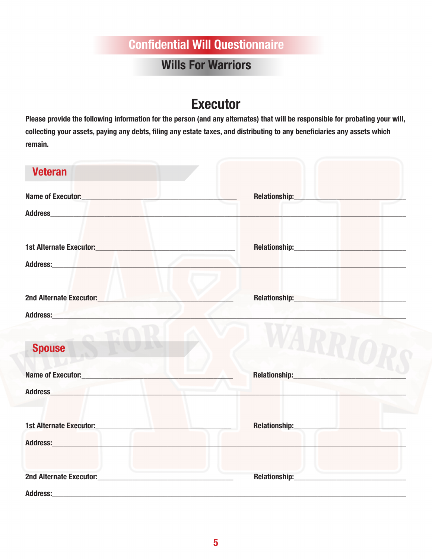#### Wills For Warriors

### **Executor**

Please provide the following information for the person (and any alternates) that will be responsible for probating your will, collecting your assets, paying any debts, filing any estate taxes, and distributing to any beneficiaries any assets which remain.

| <b>Veteran</b>                                                                                                                                                                                                                       |                                                                                                                                                                                                                                |
|--------------------------------------------------------------------------------------------------------------------------------------------------------------------------------------------------------------------------------------|--------------------------------------------------------------------------------------------------------------------------------------------------------------------------------------------------------------------------------|
| Name of Executor: Name of Executor:                                                                                                                                                                                                  | Relationship: New York Products and Products and Products and Products and Products and Products and Products                                                                                                                  |
|                                                                                                                                                                                                                                      |                                                                                                                                                                                                                                |
|                                                                                                                                                                                                                                      |                                                                                                                                                                                                                                |
| Address: No. 1996. The Contract of the Contract of the Contract of the Contract of the Contract of the Contract of the Contract of the Contract of the Contract of the Contract of the Contract of the Contract of the Contrac       |                                                                                                                                                                                                                                |
| 2nd Alternate Executor: New York 2nd Alternate Executor:                                                                                                                                                                             | Relationship: Management of the Contract of the Contract of the Contract of the Contract of the Contract of the Contract of the Contract of the Contract of the Contract of the Contract of the Contract of the Contract of th |
| Address: <b>Executive Contract Contract Contract Contract Contract Contract Contract Contract Contract Contract Contract Contract Contract Contract Contract Contract Contract Contract Contract Contract Contract Contract Cont</b> |                                                                                                                                                                                                                                |
| <b>Spouse</b>                                                                                                                                                                                                                        |                                                                                                                                                                                                                                |
| <b>Name of Executor:</b> Name of Executor:                                                                                                                                                                                           | Relationship: Network of the state of the state of the state of the state of the state of the state of the state of the state of the state of the state of the state of the state of the state of the state of the state of th |
| Address and the contract of the contract of the contract of the contract of the contract of the contract of the                                                                                                                      |                                                                                                                                                                                                                                |
|                                                                                                                                                                                                                                      | Relationship: Network of the Contract of the Contract of the Contract of the Contract of the Contract of the Contract of the Contract of the Contract of the Contract of the Contract of the Contract of the Contract of the C |
| Address: <u>Address: Address: Address: Address: Address: Address: Address: Address: Address: Address: Address: Address: Address: Address: Address: Address: Address: Address: Address: Address: Address: Address: Address: Addre</u> |                                                                                                                                                                                                                                |
| the control of the control of the control of                                                                                                                                                                                         | Relationship: The Communication of the Communication of the Communication of the Communication of the Communication of the Communication of the Communication of the Communication of the Communication of the Communication o |
| <b>Address:</b>                                                                                                                                                                                                                      |                                                                                                                                                                                                                                |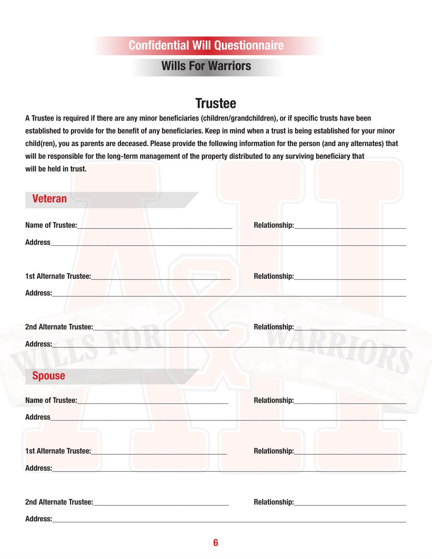#### Wills For Warriors

#### **Trustee**

A Trustee is required if there are any minor beneficiaries (children/grandchildren), or if specific trusts have been established to provide for the benefit of any beneficiaries. Keep in mind when a trust is being established for your minor child(ren), you as parents are deceased. Please provide the following information for the person (and any alternates) that will be responsible for the long-term management of the property distributed to any surviving beneficiary that will be held in trust.

| <b>Veteran</b>                                                                                                                                                                                                                                                        |                                                                                                                                                                                                                                |
|-----------------------------------------------------------------------------------------------------------------------------------------------------------------------------------------------------------------------------------------------------------------------|--------------------------------------------------------------------------------------------------------------------------------------------------------------------------------------------------------------------------------|
| Name of Trustee:                                                                                                                                                                                                                                                      | Relationship: New York State State State State State State State State State State State State State State State State State State State State State State State State State State State State State State State State State S |
|                                                                                                                                                                                                                                                                       |                                                                                                                                                                                                                                |
| 1st Alternate Trustee: <b>Alternate Trustee: Alternate Trustee:</b>                                                                                                                                                                                                   | Relationship: New York State Street, New York Street, New York Street, New York Street, New York Street, New York Street, New York Street, New York Street, New York Street, New York Street, New York Street, New York Street |
| Address: No. 1996. The Contract of the Contract of the Contract of the Contract of the Contract of the Contract of the Contract of the Contract of the Contract of the Contract of the Contract of the Contract of the Contrac                                        |                                                                                                                                                                                                                                |
| <b>2nd Alternate Trustee:</b><br><b>Contract Contract Contract Contract Contract Contract Contract Contract Contract Contract Contract Contract Contract Contract Contract Contract Contract Contract Contract Contract Contract Contract Contract Contract Contr</b> | Relationship: <b>Example 2019</b>                                                                                                                                                                                              |
| Address:                                                                                                                                                                                                                                                              |                                                                                                                                                                                                                                |
| <b>Spouse</b>                                                                                                                                                                                                                                                         |                                                                                                                                                                                                                                |
| Name of Trustee: Name of Trustee:                                                                                                                                                                                                                                     | Relationship: Management of the Contractor of the Contractor of the Contractor of the Contractor of the Contractor of the Contractor of the Contractor of the Contractor of the Contractor of the Contractor of the Contractor |
| Address and the contract of the contract of the contract of the contract of the contract of the contract of the                                                                                                                                                       |                                                                                                                                                                                                                                |
| 1st Alternate Trustee: New York Change and State Change and State Alternative Change and State Alternative Cha                                                                                                                                                        | Relationship: New York Products and Products and Products and Products and Products and Products and Products                                                                                                                  |
| Address: etc. and a state of the state of the state of the state of the state of the state of the state of the                                                                                                                                                        |                                                                                                                                                                                                                                |
| 2nd Alternate Trustee:<br><u> 1980 - Johann Barn, mars ann an t-Amhain Aonaich an t-Aonaich an t-Aonaich ann an t-Aonaich ann an t-Aonaich</u>                                                                                                                        | <b>Relationship:</b>                                                                                                                                                                                                           |

Address:\_\_\_\_\_\_\_\_\_\_\_\_\_\_\_\_\_\_\_\_\_\_\_\_\_\_\_\_\_\_\_\_\_\_\_\_\_\_\_\_\_\_\_\_\_\_\_\_\_\_\_\_\_\_\_\_\_\_\_\_\_\_\_\_\_\_\_\_\_\_\_\_\_\_\_\_\_\_\_\_\_\_\_\_\_\_\_\_\_\_\_\_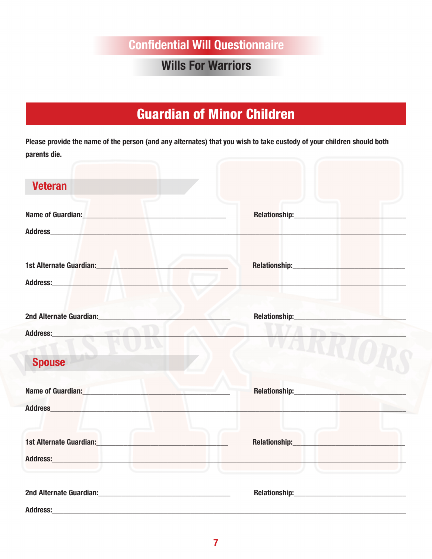#### **Wills For Warriors**

### **Guardian of Minor Children**

Please provide the name of the person (and any alternates) that you wish to take custody of your children should both parents die.

| <b>Veteran</b>                                                                                                                                                                                                                                                                      |               |
|-------------------------------------------------------------------------------------------------------------------------------------------------------------------------------------------------------------------------------------------------------------------------------------|---------------|
| Name of Guardian: Name of Guardian Communication of Guardian Communication of Guardian Communication                                                                                                                                                                                |               |
| 1st Alternate Guardian: <b>Alternate Guardian</b><br>Address: Management of the Contract of the Contract of the Contract of the Contract of the Contract of the Contract of the Contract of the Contract of the Contract of the Contract of the Contract of the Contract of the Con |               |
| 2nd Alternate Guardian:<br>and Alternate Guardian:<br>Address: <b>Management</b>                                                                                                                                                                                                    | Relationship: |
| <b>Spouse</b>                                                                                                                                                                                                                                                                       |               |
| <b>Name of Guardian:</b><br>the control of the control of<br>Address and the contract of the contract of the contract of the contract of the contract of the contract of the                                                                                                        |               |
| 1st Alternate Guardian: Maria Maria Maria Maria Maria Maria Maria Maria Maria Maria Maria Maria Maria Maria Ma                                                                                                                                                                      |               |
| <b>Address:</b>                                                                                                                                                                                                                                                                     |               |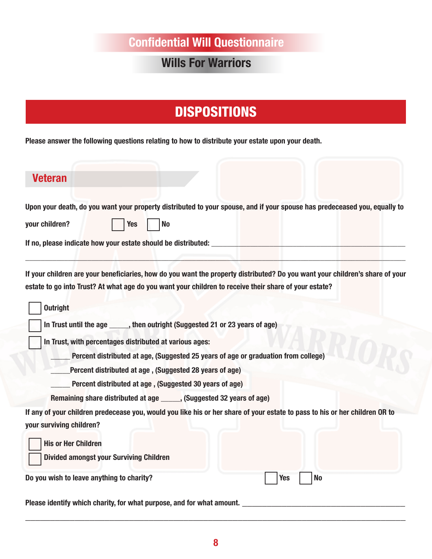### Wills For Warriors

### **DISPOSITIONS**

Please answer the following questions relating to how to distribute your estate upon your death.

| <b>Veteran</b>                                                                                                                                                                                                                        |
|---------------------------------------------------------------------------------------------------------------------------------------------------------------------------------------------------------------------------------------|
| Upon your death, do you want your property distributed to your spouse, and if your spouse has predeceased you, equally to<br><b>No</b><br>your children?<br><b>Yes</b>                                                                |
| If your children are your beneficiaries, how do you want the property distributed? Do you want your children's share of your<br>estate to go into Trust? At what age do you want your children to receive their share of your estate? |
| <b>Outright</b>                                                                                                                                                                                                                       |
| In Trust until the age _____, then outright (Suggested 21 or 23 years of age)                                                                                                                                                         |
| In Trust, with percentages distributed at various ages:                                                                                                                                                                               |
| Percent distributed at age, (Suggested 25 years of age or graduation from college)                                                                                                                                                    |
| Percent distributed at age, (Suggested 28 years of age)                                                                                                                                                                               |
| Percent distributed at age, (Suggested 30 years of age)                                                                                                                                                                               |
| Remaining share distributed at age ______, (Suggested 32 years of age)                                                                                                                                                                |
| If any of your children predecease you, would you like his or her share of your estate to pass to his or her children OR to<br>your surviving children?                                                                               |
| <b>His or Her Children</b><br><b>Divided amongst your Surviving Children</b>                                                                                                                                                          |
| Do you wish to leave anything to charity?<br><b>Yes</b><br><b>No</b>                                                                                                                                                                  |
| Please identify which charity, for what purpose, and for what amount.                                                                                                                                                                 |

\_\_\_\_\_\_\_\_\_\_\_\_\_\_\_\_\_\_\_\_\_\_\_\_\_\_\_\_\_\_\_\_\_\_\_\_\_\_\_\_\_\_\_\_\_\_\_\_\_\_\_\_\_\_\_\_\_\_\_\_\_\_\_\_\_\_\_\_\_\_\_\_\_\_\_\_\_